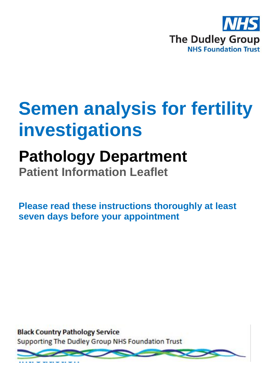

# **Semen analysis for fertility investigations**

## **Pathology Department**

**Patient Information Leaflet**

**Please read these instructions thoroughly at least seven days before your appointment**

**Black Country Pathology Service** Supporting The Dudley Group NHS Foundation Trust

**Introduction**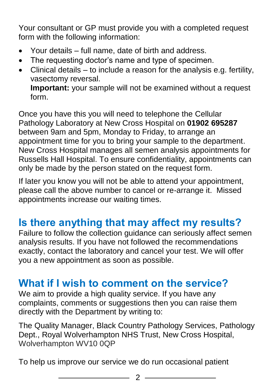Your consultant or GP must provide you with a completed request form with the following information:

- Your details full name, date of birth and address.
- The requesting doctor's name and type of specimen.
- Clinical details to include a reason for the analysis e.g. fertility, vasectomy reversal. **Important:** your sample will not be examined without a request form.

Once you have this you will need to telephone the Cellular Pathology Laboratory at New Cross Hospital on **01902 695287** between 9am and 5pm, Monday to Friday, to arrange an appointment time for you to bring your sample to the department. New Cross Hospital manages all semen analysis appointments for Russells Hall Hospital. To ensure confidentiality, appointments can only be made by the person stated on the request form.

If later you know you will not be able to attend your appointment, please call the above number to cancel or re-arrange it. Missed appointments increase our waiting times.

### **Is there anything that may affect my results?**

Failure to follow the collection guidance can seriously affect semen analysis results. If you have not followed the recommendations exactly, contact the laboratory and cancel your test. We will offer you a new appointment as soon as possible.

#### **What if I wish to comment on the service?**

We aim to provide a high quality service. If you have any complaints, comments or suggestions then you can raise them directly with the Department by writing to:

The Quality Manager, Black Country Pathology Services, Pathology Dept., Royal Wolverhampton NHS Trust, New Cross Hospital, Wolverhampton WV10 0QP

To help us improve our service we do run occasional patient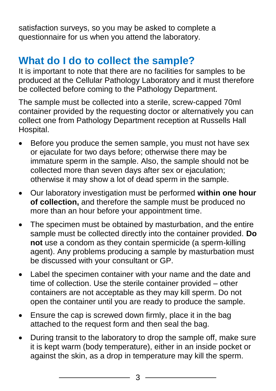satisfaction surveys, so you may be asked to complete a questionnaire for us when you attend the laboratory.

### **What do I do to collect the sample?**

It is important to note that there are no facilities for samples to be produced at the Cellular Pathology Laboratory and it must therefore be collected before coming to the Pathology Department.

The sample must be collected into a sterile, screw-capped 70ml container provided by the requesting doctor or alternatively you can collect one from Pathology Department reception at Russells Hall Hospital.

- Before you produce the semen sample, you must not have sex or ejaculate for two days before; otherwise there may be immature sperm in the sample. Also, the sample should not be collected more than seven days after sex or ejaculation; otherwise it may show a lot of dead sperm in the sample.
- Our laboratory investigation must be performed **within one hour of collection,** and therefore the sample must be produced no more than an hour before your appointment time.
- The specimen must be obtained by masturbation, and the entire sample must be collected directly into the container provided. **Do not** use a condom as they contain spermicide (a sperm-killing agent). Any problems producing a sample by masturbation must be discussed with your consultant or GP.
- Label the specimen container with your name and the date and time of collection. Use the sterile container provided – other containers are not acceptable as they may kill sperm. Do not open the container until you are ready to produce the sample.
- Ensure the cap is screwed down firmly, place it in the bag attached to the request form and then seal the bag.
- During transit to the laboratory to drop the sample off, make sure it is kept warm (body temperature), either in an inside pocket or against the skin, as a drop in temperature may kill the sperm.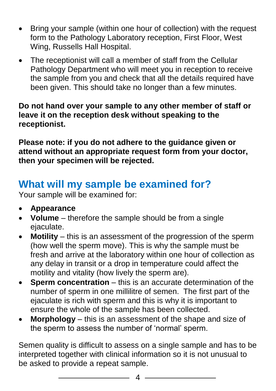- Bring your sample (within one hour of collection) with the request form to the Pathology Laboratory reception, First Floor, West Wing, Russells Hall Hospital.
- The receptionist will call a member of staff from the Cellular Pathology Department who will meet you in reception to receive the sample from you and check that all the details required have been given. This should take no longer than a few minutes.

**Do not hand over your sample to any other member of staff or leave it on the reception desk without speaking to the receptionist.**

**Please note: if you do not adhere to the guidance given or attend without an appropriate request form from your doctor, then your specimen will be rejected.**

#### **What will my sample be examined for?**

Your sample will be examined for:

- **Appearance**
- **Volume**  therefore the sample should be from a single ejaculate.
- **Motility**  this is an assessment of the progression of the sperm (how well the sperm move). This is why the sample must be fresh and arrive at the laboratory within one hour of collection as any delay in transit or a drop in temperature could affect the motility and vitality (how lively the sperm are).
- **Sperm concentration** this is an accurate determination of the number of sperm in one millilitre of semen. The first part of the ejaculate is rich with sperm and this is why it is important to ensure the whole of the sample has been collected.
- **Morphology** this is an assessment of the shape and size of the sperm to assess the number of 'normal' sperm.

Semen quality is difficult to assess on a single sample and has to be interpreted together with clinical information so it is not unusual to be asked to provide a repeat sample.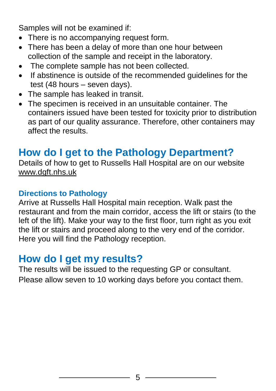Samples will not be examined if:

- There is no accompanying request form.
- There has been a delay of more than one hour between collection of the sample and receipt in the laboratory.
- The complete sample has not been collected.
- If abstinence is outside of the recommended quidelines for the test (48 hours – seven days).
- The sample has leaked in transit.
- The specimen is received in an unsuitable container. The containers issued have been tested for toxicity prior to distribution as part of our quality assurance. Therefore, other containers may affect the results.

#### **How do I get to the Pathology Department?**

Details of how to get to Russells Hall Hospital are on our website [www.dgft.nhs.uk](http://www.dgft.nhs.uk/)

#### **Directions to Pathology**

Arrive at Russells Hall Hospital main reception. Walk past the restaurant and from the main corridor, access the lift or stairs (to the left of the lift). Make your way to the first floor, turn right as you exit the lift or stairs and proceed along to the very end of the corridor. Here you will find the Pathology reception.

#### **How do I get my results?**

The results will be issued to the requesting GP or consultant. Please allow seven to 10 working days before you contact them.